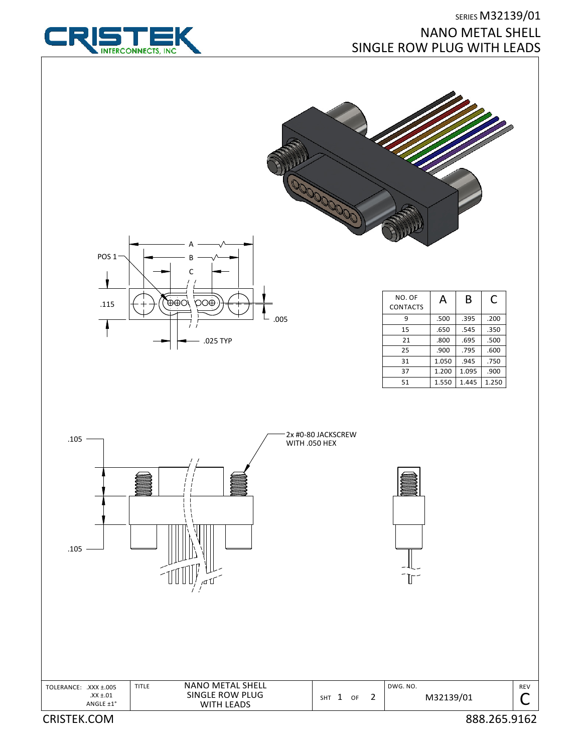

## SERIES M32139/01 NANO METAL SHELL SINGLE ROW PLUG WITH LEADS





| NO. OF<br><b>CONTACTS</b> | А     | В     | C     |
|---------------------------|-------|-------|-------|
| q                         | .500  | .395  | .200  |
| 15                        | .650  | .545  | .350  |
| 21                        | .800  | .695  | .500  |
| 25                        | .900  | .795  | .600  |
| 31                        | 1.050 | .945  | .750  |
| 37                        | 1.200 | 1.095 | .900  |
| 51                        | 1.550 | 1.445 | 1.250 |



2x #0-80 JACKSCREW



 $\mathbb{T}$ 

CRISTEK.COM 888.265.9162 ANGLE ±1° SHT 1 OF 2 TOLERANCE: .xxx ±.005 TITLE NANO METAL SHELL THE RESOLUTION ON A LOWG. NO.  $\begin{array}{c|c|c|c|c|c} \text{N32139/01} & \text{SINGLE ROW PLUG} & \text{SHT 1 of 2} & \text{M32139/01} & \text{C} \end{array}$ TITLE WITH LEADS

REV